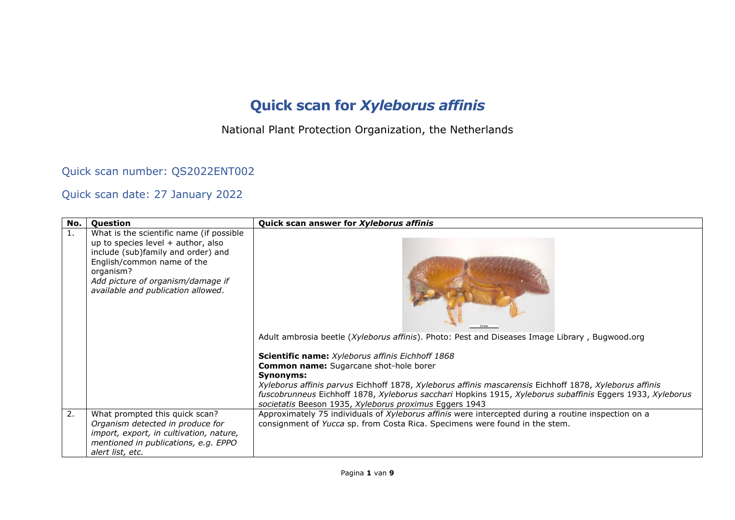## **Quick scan for** *Xyleborus affinis*

National Plant Protection Organization, the Netherlands

Quick scan number: QS2022ENT002

## Quick scan date: 27 January 2022

| No. | Question                                                                                                                                                                                                                                     | Quick scan answer for Xyleborus affinis                                                                                                                                                                                                                                                                                                     |  |
|-----|----------------------------------------------------------------------------------------------------------------------------------------------------------------------------------------------------------------------------------------------|---------------------------------------------------------------------------------------------------------------------------------------------------------------------------------------------------------------------------------------------------------------------------------------------------------------------------------------------|--|
| 1.  | What is the scientific name (if possible<br>up to species level $+$ author, also<br>include (sub)family and order) and<br>English/common name of the<br>organism?<br>Add picture of organism/damage if<br>available and publication allowed. | Adult ambrosia beetle (Xyleborus affinis). Photo: Pest and Diseases Image Library, Bugwood.org<br>Scientific name: Xyleborus affinis Eichhoff 1868                                                                                                                                                                                          |  |
|     |                                                                                                                                                                                                                                              | <b>Common name:</b> Sugarcane shot-hole borer<br>Synonyms:<br>Xyleborus affinis parvus Eichhoff 1878, Xyleborus affinis mascarensis Eichhoff 1878, Xyleborus affinis<br>fuscobrunneus Eichhoff 1878, Xyleborus sacchari Hopkins 1915, Xyleborus subaffinis Eggers 1933, Xyleborus<br>societatis Beeson 1935, Xyleborus proximus Eggers 1943 |  |
| 2.  | What prompted this quick scan?<br>Organism detected in produce for<br>import, export, in cultivation, nature,<br>mentioned in publications, e.g. EPPO<br>alert list, etc.                                                                    | Approximately 75 individuals of Xyleborus affinis were intercepted during a routine inspection on a<br>consignment of Yucca sp. from Costa Rica. Specimens were found in the stem.                                                                                                                                                          |  |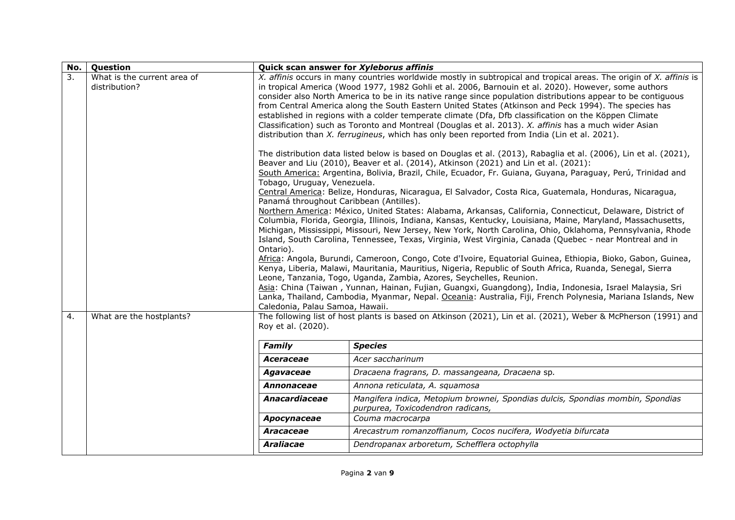| No. | Question                                     | Quick scan answer for Xyleborus affinis                                                                                |                                                                                                                                                                                                                                                                                                                                                                                                                                                                                                                                                                                                                                                                                                                                                                                                                                                                                                                                                                                                                                                                                                                                                                                                                                                                                                                                                                                                                                                                                                                                                                                                                                                                                                                                                                                                                                                                                                                                                                                                                                                                                                                                                                                                |
|-----|----------------------------------------------|------------------------------------------------------------------------------------------------------------------------|------------------------------------------------------------------------------------------------------------------------------------------------------------------------------------------------------------------------------------------------------------------------------------------------------------------------------------------------------------------------------------------------------------------------------------------------------------------------------------------------------------------------------------------------------------------------------------------------------------------------------------------------------------------------------------------------------------------------------------------------------------------------------------------------------------------------------------------------------------------------------------------------------------------------------------------------------------------------------------------------------------------------------------------------------------------------------------------------------------------------------------------------------------------------------------------------------------------------------------------------------------------------------------------------------------------------------------------------------------------------------------------------------------------------------------------------------------------------------------------------------------------------------------------------------------------------------------------------------------------------------------------------------------------------------------------------------------------------------------------------------------------------------------------------------------------------------------------------------------------------------------------------------------------------------------------------------------------------------------------------------------------------------------------------------------------------------------------------------------------------------------------------------------------------------------------------|
| 3.  | What is the current area of<br>distribution? | Tobago, Uruguay, Venezuela.<br>Panamá throughout Caribbean (Antilles).<br>Ontario).<br>Caledonia, Palau Samoa, Hawaii. | X. affinis occurs in many countries worldwide mostly in subtropical and tropical areas. The origin of X. affinis is<br>in tropical America (Wood 1977, 1982 Gohli et al. 2006, Barnouin et al. 2020). However, some authors<br>consider also North America to be in its native range since population distributions appear to be contiguous<br>from Central America along the South Eastern United States (Atkinson and Peck 1994). The species has<br>established in regions with a colder temperate climate (Dfa, Dfb classification on the Köppen Climate<br>Classification) such as Toronto and Montreal (Douglas et al. 2013). X. affinis has a much wider Asian<br>distribution than X. ferrugineus, which has only been reported from India (Lin et al. 2021).<br>The distribution data listed below is based on Douglas et al. (2013), Rabaglia et al. (2006), Lin et al. (2021),<br>Beaver and Liu (2010), Beaver et al. (2014), Atkinson (2021) and Lin et al. (2021):<br>South America: Argentina, Bolivia, Brazil, Chile, Ecuador, Fr. Guiana, Guyana, Paraguay, Perú, Trinidad and<br>Central America: Belize, Honduras, Nicaragua, El Salvador, Costa Rica, Guatemala, Honduras, Nicaragua,<br>Northern America: México, United States: Alabama, Arkansas, California, Connecticut, Delaware, District of<br>Columbia, Florida, Georgia, Illinois, Indiana, Kansas, Kentucky, Louisiana, Maine, Maryland, Massachusetts,<br>Michigan, Mississippi, Missouri, New Jersey, New York, North Carolina, Ohio, Oklahoma, Pennsylvania, Rhode<br>Island, South Carolina, Tennessee, Texas, Virginia, West Virginia, Canada (Quebec - near Montreal and in<br>Africa: Angola, Burundi, Cameroon, Congo, Cote d'Ivoire, Equatorial Guinea, Ethiopia, Bioko, Gabon, Guinea,<br>Kenya, Liberia, Malawi, Mauritania, Mauritius, Nigeria, Republic of South Africa, Ruanda, Senegal, Sierra<br>Leone, Tanzania, Togo, Uganda, Zambia, Azores, Seychelles, Reunion.<br>Asia: China (Taiwan, Yunnan, Hainan, Fujian, Guangxi, Guangdong), India, Indonesia, Israel Malaysia, Sri<br>Lanka, Thailand, Cambodia, Myanmar, Nepal. Oceania: Australia, Fiji, French Polynesia, Mariana Islands, New |
| 4.  | What are the hostplants?                     | Roy et al. (2020).                                                                                                     | The following list of host plants is based on Atkinson (2021), Lin et al. (2021), Weber & McPherson (1991) and                                                                                                                                                                                                                                                                                                                                                                                                                                                                                                                                                                                                                                                                                                                                                                                                                                                                                                                                                                                                                                                                                                                                                                                                                                                                                                                                                                                                                                                                                                                                                                                                                                                                                                                                                                                                                                                                                                                                                                                                                                                                                 |
|     |                                              | <b>Family</b>                                                                                                          | <b>Species</b>                                                                                                                                                                                                                                                                                                                                                                                                                                                                                                                                                                                                                                                                                                                                                                                                                                                                                                                                                                                                                                                                                                                                                                                                                                                                                                                                                                                                                                                                                                                                                                                                                                                                                                                                                                                                                                                                                                                                                                                                                                                                                                                                                                                 |
|     |                                              | Aceraceae                                                                                                              | Acer saccharinum                                                                                                                                                                                                                                                                                                                                                                                                                                                                                                                                                                                                                                                                                                                                                                                                                                                                                                                                                                                                                                                                                                                                                                                                                                                                                                                                                                                                                                                                                                                                                                                                                                                                                                                                                                                                                                                                                                                                                                                                                                                                                                                                                                               |
|     |                                              | Agavaceae                                                                                                              | Dracaena fragrans, D. massangeana, Dracaena sp.                                                                                                                                                                                                                                                                                                                                                                                                                                                                                                                                                                                                                                                                                                                                                                                                                                                                                                                                                                                                                                                                                                                                                                                                                                                                                                                                                                                                                                                                                                                                                                                                                                                                                                                                                                                                                                                                                                                                                                                                                                                                                                                                                |
|     |                                              | Annonaceae                                                                                                             | Annona reticulata, A. squamosa                                                                                                                                                                                                                                                                                                                                                                                                                                                                                                                                                                                                                                                                                                                                                                                                                                                                                                                                                                                                                                                                                                                                                                                                                                                                                                                                                                                                                                                                                                                                                                                                                                                                                                                                                                                                                                                                                                                                                                                                                                                                                                                                                                 |
|     |                                              | Anacardiaceae                                                                                                          | Mangifera indica, Metopium brownei, Spondias dulcis, Spondias mombin, Spondias<br>purpurea, Toxicodendron radicans,                                                                                                                                                                                                                                                                                                                                                                                                                                                                                                                                                                                                                                                                                                                                                                                                                                                                                                                                                                                                                                                                                                                                                                                                                                                                                                                                                                                                                                                                                                                                                                                                                                                                                                                                                                                                                                                                                                                                                                                                                                                                            |
|     |                                              | Apocynaceae                                                                                                            | Couma macrocarpa                                                                                                                                                                                                                                                                                                                                                                                                                                                                                                                                                                                                                                                                                                                                                                                                                                                                                                                                                                                                                                                                                                                                                                                                                                                                                                                                                                                                                                                                                                                                                                                                                                                                                                                                                                                                                                                                                                                                                                                                                                                                                                                                                                               |
|     |                                              | <b>Aracaceae</b>                                                                                                       | Arecastrum romanzoffianum, Cocos nucifera, Wodyetia bifurcata                                                                                                                                                                                                                                                                                                                                                                                                                                                                                                                                                                                                                                                                                                                                                                                                                                                                                                                                                                                                                                                                                                                                                                                                                                                                                                                                                                                                                                                                                                                                                                                                                                                                                                                                                                                                                                                                                                                                                                                                                                                                                                                                  |
|     |                                              | <b>Araliacae</b>                                                                                                       | Dendropanax arboretum, Schefflera octophylla                                                                                                                                                                                                                                                                                                                                                                                                                                                                                                                                                                                                                                                                                                                                                                                                                                                                                                                                                                                                                                                                                                                                                                                                                                                                                                                                                                                                                                                                                                                                                                                                                                                                                                                                                                                                                                                                                                                                                                                                                                                                                                                                                   |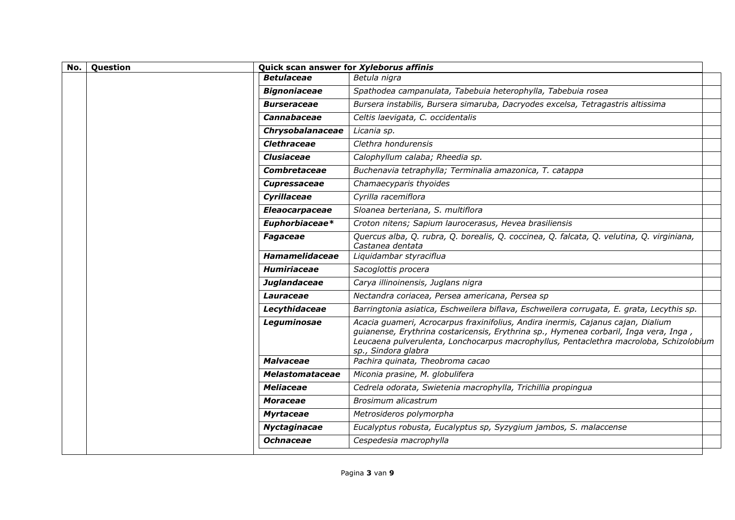| No. | Question | Quick scan answer for Xyleborus affinis |                                                                                                                                                                                                                                                                                            |  |
|-----|----------|-----------------------------------------|--------------------------------------------------------------------------------------------------------------------------------------------------------------------------------------------------------------------------------------------------------------------------------------------|--|
|     |          | <b>Betulaceae</b>                       | Betula nigra                                                                                                                                                                                                                                                                               |  |
|     |          | <b>Bignoniaceae</b>                     | Spathodea campanulata, Tabebuia heterophylla, Tabebuia rosea                                                                                                                                                                                                                               |  |
|     |          | <b>Burseraceae</b>                      | Bursera instabilis, Bursera simaruba, Dacryodes excelsa, Tetragastris altissima                                                                                                                                                                                                            |  |
|     |          | <b>Cannabaceae</b>                      | Celtis laevigata, C. occidentalis                                                                                                                                                                                                                                                          |  |
|     |          | Chrysobalanaceae                        | Licania sp.                                                                                                                                                                                                                                                                                |  |
|     |          | Clethraceae                             | Clethra hondurensis                                                                                                                                                                                                                                                                        |  |
|     |          | <b>Clusiaceae</b>                       | Calophyllum calaba; Rheedia sp.                                                                                                                                                                                                                                                            |  |
|     |          | Combretaceae                            | Buchenavia tetraphylla; Terminalia amazonica, T. catappa                                                                                                                                                                                                                                   |  |
|     |          | <b>Cupressaceae</b>                     | Chamaecyparis thyoides                                                                                                                                                                                                                                                                     |  |
|     |          | Cyrillaceae                             | Cyrilla racemiflora                                                                                                                                                                                                                                                                        |  |
|     |          | <b>Eleaocarpaceae</b>                   | Sloanea berteriana, S. multiflora                                                                                                                                                                                                                                                          |  |
|     |          | Euphorbiaceae*                          | Croton nitens; Sapium laurocerasus, Hevea brasiliensis                                                                                                                                                                                                                                     |  |
|     |          | <b>Fagaceae</b>                         | Quercus alba, Q. rubra, Q. borealis, Q. coccinea, Q. falcata, Q. velutina, Q. virginiana,<br>Castanea dentata                                                                                                                                                                              |  |
|     |          | Hamamelidaceae                          | Liquidambar styraciflua                                                                                                                                                                                                                                                                    |  |
|     |          | <b>Humiriaceae</b>                      | Sacoglottis procera                                                                                                                                                                                                                                                                        |  |
|     |          | Juglandaceae                            | Carya illinoinensis, Juglans nigra                                                                                                                                                                                                                                                         |  |
|     |          | Lauraceae                               | Nectandra coriacea, Persea americana, Persea sp                                                                                                                                                                                                                                            |  |
|     |          | Lecythidaceae                           | Barringtonia asiatica, Eschweilera biflava, Eschweilera corrugata, E. grata, Lecythis sp.                                                                                                                                                                                                  |  |
|     |          | Leguminosae                             | Acacia guameri, Acrocarpus fraxinifolius, Andira inermis, Cajanus cajan, Dialium<br>guianense, Erythrina costaricensis, Erythrina sp., Hymenea corbaril, Inga vera, Inga,<br>Leucaena pulverulenta, Lonchocarpus macrophyllus, Pentaclethra macroloba, Schizolobium<br>sp., Sindora glabra |  |
|     |          | <b>Malvaceae</b>                        | Pachira quinata, Theobroma cacao                                                                                                                                                                                                                                                           |  |
|     |          | <b>Melastomataceae</b>                  | Miconia prasine, M. globulifera                                                                                                                                                                                                                                                            |  |
|     |          | <b>Meliaceae</b>                        | Cedrela odorata, Swietenia macrophylla, Trichillia propingua                                                                                                                                                                                                                               |  |
|     |          | <b>Moraceae</b>                         | Brosimum alicastrum                                                                                                                                                                                                                                                                        |  |
|     |          | <b>Myrtaceae</b>                        | Metrosideros polymorpha                                                                                                                                                                                                                                                                    |  |
|     |          | Nyctaginacae                            | Eucalyptus robusta, Eucalyptus sp, Syzygium jambos, S. malaccense                                                                                                                                                                                                                          |  |
|     |          | <b>Ochnaceae</b>                        | Cespedesia macrophylla                                                                                                                                                                                                                                                                     |  |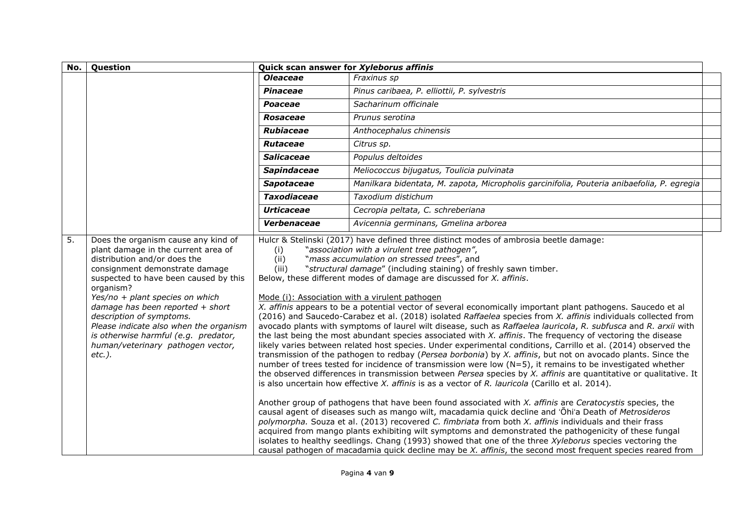| No.              | Question                                                                                                                                                                                                                                                                                                                                                                                                                                                         | Quick scan answer for Xyleborus affinis |                                                                                                                                                                                                                                                                                                                                                                                                                                                                                                                                                                                                                                                                                                                                                                                                                                                                                                                                                                                                                                                                                                                                                                                                                                                                                                                                                                                                                                                                                                                                                                                                                                                                                                                                                                                                                                                                                                                                                                                                                                                                                                          |  |
|------------------|------------------------------------------------------------------------------------------------------------------------------------------------------------------------------------------------------------------------------------------------------------------------------------------------------------------------------------------------------------------------------------------------------------------------------------------------------------------|-----------------------------------------|----------------------------------------------------------------------------------------------------------------------------------------------------------------------------------------------------------------------------------------------------------------------------------------------------------------------------------------------------------------------------------------------------------------------------------------------------------------------------------------------------------------------------------------------------------------------------------------------------------------------------------------------------------------------------------------------------------------------------------------------------------------------------------------------------------------------------------------------------------------------------------------------------------------------------------------------------------------------------------------------------------------------------------------------------------------------------------------------------------------------------------------------------------------------------------------------------------------------------------------------------------------------------------------------------------------------------------------------------------------------------------------------------------------------------------------------------------------------------------------------------------------------------------------------------------------------------------------------------------------------------------------------------------------------------------------------------------------------------------------------------------------------------------------------------------------------------------------------------------------------------------------------------------------------------------------------------------------------------------------------------------------------------------------------------------------------------------------------------------|--|
|                  |                                                                                                                                                                                                                                                                                                                                                                                                                                                                  | <b>Oleaceae</b>                         | Fraxinus sp                                                                                                                                                                                                                                                                                                                                                                                                                                                                                                                                                                                                                                                                                                                                                                                                                                                                                                                                                                                                                                                                                                                                                                                                                                                                                                                                                                                                                                                                                                                                                                                                                                                                                                                                                                                                                                                                                                                                                                                                                                                                                              |  |
|                  |                                                                                                                                                                                                                                                                                                                                                                                                                                                                  | Pinaceae                                | Pinus caribaea, P. elliottii, P. sylvestris                                                                                                                                                                                                                                                                                                                                                                                                                                                                                                                                                                                                                                                                                                                                                                                                                                                                                                                                                                                                                                                                                                                                                                                                                                                                                                                                                                                                                                                                                                                                                                                                                                                                                                                                                                                                                                                                                                                                                                                                                                                              |  |
|                  |                                                                                                                                                                                                                                                                                                                                                                                                                                                                  | Poaceae                                 | Sacharinum officinale                                                                                                                                                                                                                                                                                                                                                                                                                                                                                                                                                                                                                                                                                                                                                                                                                                                                                                                                                                                                                                                                                                                                                                                                                                                                                                                                                                                                                                                                                                                                                                                                                                                                                                                                                                                                                                                                                                                                                                                                                                                                                    |  |
|                  |                                                                                                                                                                                                                                                                                                                                                                                                                                                                  | <b>Rosaceae</b>                         | Prunus serotina                                                                                                                                                                                                                                                                                                                                                                                                                                                                                                                                                                                                                                                                                                                                                                                                                                                                                                                                                                                                                                                                                                                                                                                                                                                                                                                                                                                                                                                                                                                                                                                                                                                                                                                                                                                                                                                                                                                                                                                                                                                                                          |  |
|                  |                                                                                                                                                                                                                                                                                                                                                                                                                                                                  | <b>Rubiaceae</b>                        | Anthocephalus chinensis                                                                                                                                                                                                                                                                                                                                                                                                                                                                                                                                                                                                                                                                                                                                                                                                                                                                                                                                                                                                                                                                                                                                                                                                                                                                                                                                                                                                                                                                                                                                                                                                                                                                                                                                                                                                                                                                                                                                                                                                                                                                                  |  |
|                  |                                                                                                                                                                                                                                                                                                                                                                                                                                                                  | <b>Rutaceae</b>                         | Citrus sp.                                                                                                                                                                                                                                                                                                                                                                                                                                                                                                                                                                                                                                                                                                                                                                                                                                                                                                                                                                                                                                                                                                                                                                                                                                                                                                                                                                                                                                                                                                                                                                                                                                                                                                                                                                                                                                                                                                                                                                                                                                                                                               |  |
|                  |                                                                                                                                                                                                                                                                                                                                                                                                                                                                  | <b>Salicaceae</b>                       | Populus deltoides                                                                                                                                                                                                                                                                                                                                                                                                                                                                                                                                                                                                                                                                                                                                                                                                                                                                                                                                                                                                                                                                                                                                                                                                                                                                                                                                                                                                                                                                                                                                                                                                                                                                                                                                                                                                                                                                                                                                                                                                                                                                                        |  |
|                  |                                                                                                                                                                                                                                                                                                                                                                                                                                                                  | <b>Sapindaceae</b>                      | Meliococcus bijugatus, Toulicia pulvinata                                                                                                                                                                                                                                                                                                                                                                                                                                                                                                                                                                                                                                                                                                                                                                                                                                                                                                                                                                                                                                                                                                                                                                                                                                                                                                                                                                                                                                                                                                                                                                                                                                                                                                                                                                                                                                                                                                                                                                                                                                                                |  |
|                  |                                                                                                                                                                                                                                                                                                                                                                                                                                                                  | <b>Sapotaceae</b>                       | Manilkara bidentata, M. zapota, Micropholis garcinifolia, Pouteria anibaefolia, P. egregia                                                                                                                                                                                                                                                                                                                                                                                                                                                                                                                                                                                                                                                                                                                                                                                                                                                                                                                                                                                                                                                                                                                                                                                                                                                                                                                                                                                                                                                                                                                                                                                                                                                                                                                                                                                                                                                                                                                                                                                                               |  |
|                  |                                                                                                                                                                                                                                                                                                                                                                                                                                                                  | <b>Taxodiaceae</b>                      | Taxodium distichum                                                                                                                                                                                                                                                                                                                                                                                                                                                                                                                                                                                                                                                                                                                                                                                                                                                                                                                                                                                                                                                                                                                                                                                                                                                                                                                                                                                                                                                                                                                                                                                                                                                                                                                                                                                                                                                                                                                                                                                                                                                                                       |  |
|                  |                                                                                                                                                                                                                                                                                                                                                                                                                                                                  | <b>Urticaceae</b>                       | Cecropia peltata, C. schreberiana                                                                                                                                                                                                                                                                                                                                                                                                                                                                                                                                                                                                                                                                                                                                                                                                                                                                                                                                                                                                                                                                                                                                                                                                                                                                                                                                                                                                                                                                                                                                                                                                                                                                                                                                                                                                                                                                                                                                                                                                                                                                        |  |
|                  |                                                                                                                                                                                                                                                                                                                                                                                                                                                                  | Verbenaceae                             | Avicennia germinans, Gmelina arborea                                                                                                                                                                                                                                                                                                                                                                                                                                                                                                                                                                                                                                                                                                                                                                                                                                                                                                                                                                                                                                                                                                                                                                                                                                                                                                                                                                                                                                                                                                                                                                                                                                                                                                                                                                                                                                                                                                                                                                                                                                                                     |  |
| $\overline{5}$ . | Does the organism cause any kind of<br>plant damage in the current area of<br>(i)<br>distribution and/or does the<br>(ii)<br>consignment demonstrate damage<br>(iii)<br>suspected to have been caused by this<br>organism?<br>Yes/no + plant species on which<br>damage has been reported $+$ short<br>description of symptoms.<br>Please indicate also when the organism<br>is otherwise harmful (e.g. predator,<br>human/veterinary pathogen vector,<br>etc.). |                                         | Hulcr & Stelinski (2017) have defined three distinct modes of ambrosia beetle damage:<br>"association with a virulent tree pathogen",<br>"mass accumulation on stressed trees", and<br>"structural damage" (including staining) of freshly sawn timber.<br>Below, these different modes of damage are discussed for X. affinis.<br>Mode (i): Association with a virulent pathogen<br>X. affinis appears to be a potential vector of several economically important plant pathogens. Saucedo et al<br>(2016) and Saucedo-Carabez et al. (2018) isolated Raffaelea species from X. affinis individuals collected from<br>avocado plants with symptoms of laurel wilt disease, such as Raffaelea lauricola, R. subfusca and R. arxii with<br>the last being the most abundant species associated with X. affinis. The frequency of vectoring the disease<br>likely varies between related host species. Under experimental conditions, Carrillo et al. (2014) observed the<br>transmission of the pathogen to redbay (Persea borbonia) by X. affinis, but not on avocado plants. Since the<br>number of trees tested for incidence of transmission were low (N=5), it remains to be investigated whether<br>the observed differences in transmission between Persea species by X. affinis are quantitative or qualitative. It<br>is also uncertain how effective $X$ . affinis is as a vector of $R$ . lauricola (Carillo et al. 2014).<br>Another group of pathogens that have been found associated with X. affinis are Ceratocystis species, the<br>causal agent of diseases such as mango wilt, macadamia quick decline and 'Ohi'a Death of Metrosideros<br>polymorpha. Souza et al. (2013) recovered C. fimbriata from both X. affinis individuals and their frass<br>acquired from mango plants exhibiting wilt symptoms and demonstrated the pathogenicity of these fungal<br>isolates to healthy seedlings. Chang (1993) showed that one of the three Xyleborus species vectoring the<br>causal pathogen of macadamia quick decline may be X. affinis, the second most frequent species reared from |  |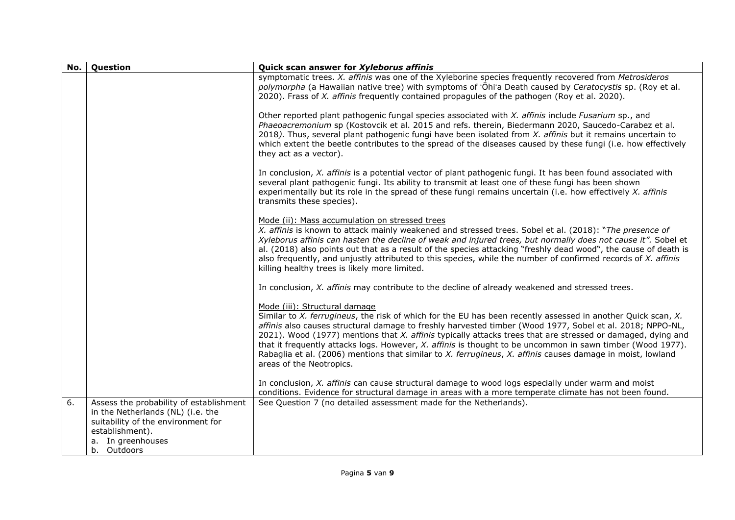| No. | Question                                                                     | Quick scan answer for Xyleborus affinis                                                                                                                                                                                                                                                                                                                                                                                                                                                                                                                                                          |
|-----|------------------------------------------------------------------------------|--------------------------------------------------------------------------------------------------------------------------------------------------------------------------------------------------------------------------------------------------------------------------------------------------------------------------------------------------------------------------------------------------------------------------------------------------------------------------------------------------------------------------------------------------------------------------------------------------|
|     |                                                                              | symptomatic trees. X. affinis was one of the Xyleborine species frequently recovered from Metrosideros<br>polymorpha (a Hawaiian native tree) with symptoms of 'Ohi'a Death caused by Ceratocystis sp. (Roy et al.<br>2020). Frass of X. affinis frequently contained propagules of the pathogen (Roy et al. 2020).                                                                                                                                                                                                                                                                              |
|     |                                                                              | Other reported plant pathogenic fungal species associated with X. affinis include Fusarium sp., and<br>Phaeoacremonium sp (Kostovcik et al. 2015 and refs. therein, Biedermann 2020, Saucedo-Carabez et al.<br>2018). Thus, several plant pathogenic fungi have been isolated from X. affinis but it remains uncertain to<br>which extent the beetle contributes to the spread of the diseases caused by these fungi (i.e. how effectively<br>they act as a vector).                                                                                                                             |
|     |                                                                              | In conclusion, $X$ . affinis is a potential vector of plant pathogenic fungi. It has been found associated with<br>several plant pathogenic fungi. Its ability to transmit at least one of these fungi has been shown<br>experimentally but its role in the spread of these fungi remains uncertain (i.e. how effectively X. affinis<br>transmits these species).                                                                                                                                                                                                                                |
|     |                                                                              | Mode (ii): Mass accumulation on stressed trees<br>X. affinis is known to attack mainly weakened and stressed trees. Sobel et al. (2018): "The presence of<br>Xyleborus affinis can hasten the decline of weak and injured trees, but normally does not cause it". Sobel et<br>al. (2018) also points out that as a result of the species attacking "freshly dead wood", the cause of death is<br>also frequently, and unjustly attributed to this species, while the number of confirmed records of X. affinis<br>killing healthy trees is likely more limited.                                  |
|     |                                                                              | In conclusion, X. affinis may contribute to the decline of already weakened and stressed trees.                                                                                                                                                                                                                                                                                                                                                                                                                                                                                                  |
|     |                                                                              | Mode (iii): Structural damage                                                                                                                                                                                                                                                                                                                                                                                                                                                                                                                                                                    |
|     |                                                                              | Similar to X. ferrugineus, the risk of which for the EU has been recently assessed in another Quick scan, X.<br>affinis also causes structural damage to freshly harvested timber (Wood 1977, Sobel et al. 2018; NPPO-NL,<br>2021). Wood (1977) mentions that X. affinis typically attacks trees that are stressed or damaged, dying and<br>that it frequently attacks logs. However, X. affinis is thought to be uncommon in sawn timber (Wood 1977).<br>Rabaglia et al. (2006) mentions that similar to X. ferrugineus, X. affinis causes damage in moist, lowland<br>areas of the Neotropics. |
|     |                                                                              | In conclusion, $X$ . affinis can cause structural damage to wood logs especially under warm and moist<br>conditions. Evidence for structural damage in areas with a more temperate climate has not been found.                                                                                                                                                                                                                                                                                                                                                                                   |
| 6.  | Assess the probability of establishment<br>in the Netherlands (NL) (i.e. the | See Question 7 (no detailed assessment made for the Netherlands).                                                                                                                                                                                                                                                                                                                                                                                                                                                                                                                                |
|     | suitability of the environment for                                           |                                                                                                                                                                                                                                                                                                                                                                                                                                                                                                                                                                                                  |
|     | establishment).<br>a. In greenhouses                                         |                                                                                                                                                                                                                                                                                                                                                                                                                                                                                                                                                                                                  |
|     | b. Outdoors                                                                  |                                                                                                                                                                                                                                                                                                                                                                                                                                                                                                                                                                                                  |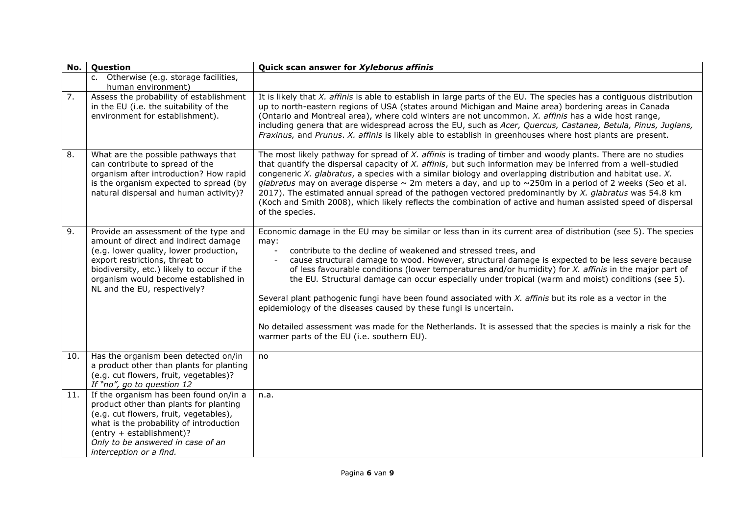| No.              | Question                                                                                                                                                                                                                                                                        | Quick scan answer for Xyleborus affinis                                                                                                                                                                                                                                                                                                                                                                                                                                                                                                                                                                                                                                                                                                                                                                                                                      |
|------------------|---------------------------------------------------------------------------------------------------------------------------------------------------------------------------------------------------------------------------------------------------------------------------------|--------------------------------------------------------------------------------------------------------------------------------------------------------------------------------------------------------------------------------------------------------------------------------------------------------------------------------------------------------------------------------------------------------------------------------------------------------------------------------------------------------------------------------------------------------------------------------------------------------------------------------------------------------------------------------------------------------------------------------------------------------------------------------------------------------------------------------------------------------------|
|                  | c. Otherwise (e.g. storage facilities,<br>human environment)                                                                                                                                                                                                                    |                                                                                                                                                                                                                                                                                                                                                                                                                                                                                                                                                                                                                                                                                                                                                                                                                                                              |
| $\overline{7}$ . | Assess the probability of establishment<br>in the EU (i.e. the suitability of the<br>environment for establishment).                                                                                                                                                            | It is likely that $X$ . affinis is able to establish in large parts of the EU. The species has a contiguous distribution<br>up to north-eastern regions of USA (states around Michigan and Maine area) bordering areas in Canada<br>(Ontario and Montreal area), where cold winters are not uncommon. X. affinis has a wide host range,<br>including genera that are widespread across the EU, such as Acer, Quercus, Castanea, Betula, Pinus, Juglans,<br>Fraxinus, and Prunus. X. affinis is likely able to establish in greenhouses where host plants are present.                                                                                                                                                                                                                                                                                        |
| 8.               | What are the possible pathways that<br>can contribute to spread of the<br>organism after introduction? How rapid<br>is the organism expected to spread (by<br>natural dispersal and human activity)?                                                                            | The most likely pathway for spread of X. affinis is trading of timber and woody plants. There are no studies<br>that quantify the dispersal capacity of X. affinis, but such information may be inferred from a well-studied<br>congeneric X. glabratus, a species with a similar biology and overlapping distribution and habitat use. X.<br>glabratus may on average disperse $\sim$ 2m meters a day, and up to $\sim$ 250m in a period of 2 weeks (Seo et al.<br>2017). The estimated annual spread of the pathogen vectored predominantly by X. glabratus was 54.8 km<br>(Koch and Smith 2008), which likely reflects the combination of active and human assisted speed of dispersal<br>of the species.                                                                                                                                                 |
| 9.               | Provide an assessment of the type and<br>amount of direct and indirect damage<br>(e.g. lower quality, lower production,<br>export restrictions, threat to<br>biodiversity, etc.) likely to occur if the<br>organism would become established in<br>NL and the EU, respectively? | Economic damage in the EU may be similar or less than in its current area of distribution (see 5). The species<br>may:<br>contribute to the decline of weakened and stressed trees, and<br>cause structural damage to wood. However, structural damage is expected to be less severe because<br>of less favourable conditions (lower temperatures and/or humidity) for X. affinis in the major part of<br>the EU. Structural damage can occur especially under tropical (warm and moist) conditions (see 5).<br>Several plant pathogenic fungi have been found associated with X. affinis but its role as a vector in the<br>epidemiology of the diseases caused by these fungi is uncertain.<br>No detailed assessment was made for the Netherlands. It is assessed that the species is mainly a risk for the<br>warmer parts of the EU (i.e. southern EU). |
| 10.              | Has the organism been detected on/in<br>a product other than plants for planting<br>(e.g. cut flowers, fruit, vegetables)?<br>If "no", go to question 12                                                                                                                        | no                                                                                                                                                                                                                                                                                                                                                                                                                                                                                                                                                                                                                                                                                                                                                                                                                                                           |
| 11.              | If the organism has been found on/in a<br>product other than plants for planting<br>(e.g. cut flowers, fruit, vegetables),<br>what is the probability of introduction<br>(entry + establishment)?<br>Only to be answered in case of an<br>interception or a find.               | n.a.                                                                                                                                                                                                                                                                                                                                                                                                                                                                                                                                                                                                                                                                                                                                                                                                                                                         |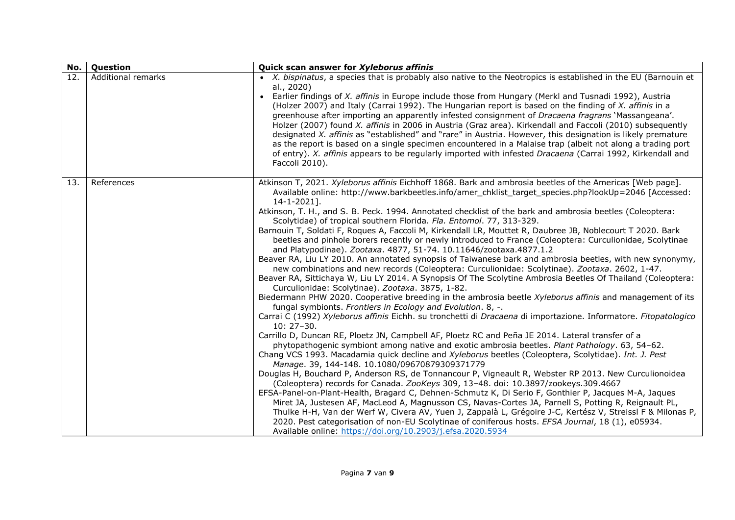| No. | Question           | Quick scan answer for Xyleborus affinis                                                                                                                                                                                                                                                                                                                                                                                                                                                                                                                                                                                                                                                                                                                                                                                                                                                                                                                                                                                                                                                                                                                                                                                                                                                                                                                                                                                                                                                                                                                                                                                                                                                                                                                                                                                                                                                                                                                                                                                                                                                                                                                                                                                                                                                                                                                                                                                                                                                 |
|-----|--------------------|-----------------------------------------------------------------------------------------------------------------------------------------------------------------------------------------------------------------------------------------------------------------------------------------------------------------------------------------------------------------------------------------------------------------------------------------------------------------------------------------------------------------------------------------------------------------------------------------------------------------------------------------------------------------------------------------------------------------------------------------------------------------------------------------------------------------------------------------------------------------------------------------------------------------------------------------------------------------------------------------------------------------------------------------------------------------------------------------------------------------------------------------------------------------------------------------------------------------------------------------------------------------------------------------------------------------------------------------------------------------------------------------------------------------------------------------------------------------------------------------------------------------------------------------------------------------------------------------------------------------------------------------------------------------------------------------------------------------------------------------------------------------------------------------------------------------------------------------------------------------------------------------------------------------------------------------------------------------------------------------------------------------------------------------------------------------------------------------------------------------------------------------------------------------------------------------------------------------------------------------------------------------------------------------------------------------------------------------------------------------------------------------------------------------------------------------------------------------------------------------|
| 12. | Additional remarks | • X. bispinatus, a species that is probably also native to the Neotropics is established in the EU (Barnouin et<br>al., 2020)<br>• Earlier findings of X. affinis in Europe include those from Hungary (Merkl and Tusnadi 1992), Austria<br>(Holzer 2007) and Italy (Carrai 1992). The Hungarian report is based on the finding of X. affinis in a<br>greenhouse after importing an apparently infested consignment of Dracaena fragrans 'Massangeana'.<br>Holzer (2007) found X. affinis in 2006 in Austria (Graz area). Kirkendall and Faccoli (2010) subsequently<br>designated X. affinis as "established" and "rare" in Austria. However, this designation is likely premature<br>as the report is based on a single specimen encountered in a Malaise trap (albeit not along a trading port<br>of entry). X. affinis appears to be regularly imported with infested Dracaena (Carrai 1992, Kirkendall and<br>Faccoli 2010).                                                                                                                                                                                                                                                                                                                                                                                                                                                                                                                                                                                                                                                                                                                                                                                                                                                                                                                                                                                                                                                                                                                                                                                                                                                                                                                                                                                                                                                                                                                                                       |
| 13. | References         | Atkinson T, 2021. Xyleborus affinis Eichhoff 1868. Bark and ambrosia beetles of the Americas [Web page].<br>Available online: http://www.barkbeetles.info/amer chklist target species.php?lookUp=2046 [Accessed:<br>$14 - 1 - 2021$ ].<br>Atkinson, T. H., and S. B. Peck. 1994. Annotated checklist of the bark and ambrosia beetles (Coleoptera:<br>Scolytidae) of tropical southern Florida. Fla. Entomol. 77, 313-329.<br>Barnouin T, Soldati F, Roques A, Faccoli M, Kirkendall LR, Mouttet R, Daubree JB, Noblecourt T 2020. Bark<br>beetles and pinhole borers recently or newly introduced to France (Coleoptera: Curculionidae, Scolytinae<br>and Platypodinae). Zootaxa. 4877, 51-74. 10.11646/zootaxa.4877.1.2<br>Beaver RA, Liu LY 2010. An annotated synopsis of Taiwanese bark and ambrosia beetles, with new synonymy,<br>new combinations and new records (Coleoptera: Curculionidae: Scolytinae). Zootaxa. 2602, 1-47.<br>Beaver RA, Sittichaya W, Liu LY 2014. A Synopsis Of The Scolytine Ambrosia Beetles Of Thailand (Coleoptera:<br>Curculionidae: Scolytinae). Zootaxa. 3875, 1-82.<br>Biedermann PHW 2020. Cooperative breeding in the ambrosia beetle Xyleborus affinis and management of its<br>fungal symbionts. Frontiers in Ecology and Evolution. 8, -.<br>Carrai C (1992) Xyleborus affinis Eichh. su tronchetti di Dracaena di importazione. Informatore. Fitopatologico<br>$10:27-30.$<br>Carrillo D, Duncan RE, Ploetz JN, Campbell AF, Ploetz RC and Peña JE 2014. Lateral transfer of a<br>phytopathogenic symbiont among native and exotic ambrosia beetles. Plant Pathology. 63, 54-62.<br>Chang VCS 1993. Macadamia quick decline and Xyleborus beetles (Coleoptera, Scolytidae). Int. J. Pest<br>Manage. 39, 144-148. 10.1080/09670879309371779<br>Douglas H, Bouchard P, Anderson RS, de Tonnancour P, Vigneault R, Webster RP 2013. New Curculionoidea<br>(Coleoptera) records for Canada. ZooKeys 309, 13-48. doi: 10.3897/zookeys.309.4667<br>EFSA-Panel-on-Plant-Health, Bragard C, Dehnen-Schmutz K, Di Serio F, Gonthier P, Jacques M-A, Jaques<br>Miret JA, Justesen AF, MacLeod A, Magnusson CS, Navas-Cortes JA, Parnell S, Potting R, Reignault PL,<br>Thulke H-H, Van der Werf W, Civera AV, Yuen J, Zappalà L, Grégoire J-C, Kertész V, Streissl F & Milonas P,<br>2020. Pest categorisation of non-EU Scolytinae of coniferous hosts. EFSA Journal, 18 (1), e05934.<br>Available online: https://doi.org/10.2903/j.efsa.2020.5934 |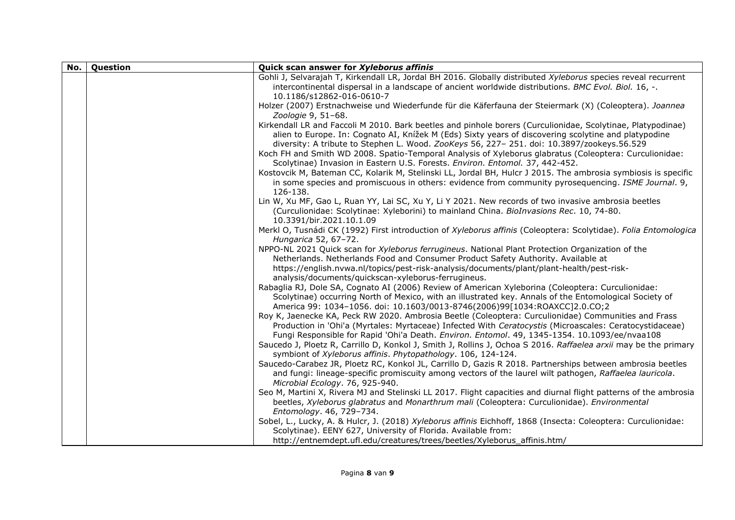| Question | Quick scan answer for Xyleborus affinis                                                                                                          |
|----------|--------------------------------------------------------------------------------------------------------------------------------------------------|
|          | Gohli J, Selvarajah T, Kirkendall LR, Jordal BH 2016. Globally distributed Xyleborus species reveal recurrent                                    |
|          | intercontinental dispersal in a landscape of ancient worldwide distributions. BMC Evol. Biol. 16, -.                                             |
|          | 10.1186/s12862-016-0610-7                                                                                                                        |
|          | Holzer (2007) Erstnachweise und Wiederfunde für die Käferfauna der Steiermark (X) (Coleoptera). Joannea                                          |
|          | Zoologie 9, 51-68.<br>Kirkendall LR and Faccoli M 2010. Bark beetles and pinhole borers (Curculionidae, Scolytinae, Platypodinae)                |
|          | alien to Europe. In: Cognato AI, Knížek M (Eds) Sixty years of discovering scolytine and platypodine                                             |
|          | diversity: A tribute to Stephen L. Wood. ZooKeys 56, 227-251. doi: 10.3897/zookeys.56.529                                                        |
|          | Koch FH and Smith WD 2008. Spatio-Temporal Analysis of Xyleborus glabratus (Coleoptera: Curculionidae:                                           |
|          | Scolytinae) Invasion in Eastern U.S. Forests. Environ. Entomol. 37, 442-452.                                                                     |
|          | Kostovcik M, Bateman CC, Kolarik M, Stelinski LL, Jordal BH, Hulcr J 2015. The ambrosia symbiosis is specific                                    |
|          | in some species and promiscuous in others: evidence from community pyrosequencing. ISME Journal. 9,                                              |
|          | 126-138.                                                                                                                                         |
|          | Lin W, Xu MF, Gao L, Ruan YY, Lai SC, Xu Y, Li Y 2021. New records of two invasive ambrosia beetles                                              |
|          | (Curculionidae: Scolytinae: Xyleborini) to mainland China. BioInvasions Rec. 10, 74-80.                                                          |
|          | 10.3391/bir.2021.10.1.09                                                                                                                         |
|          | Merkl O, Tusnádi CK (1992) First introduction of Xyleborus affinis (Coleoptera: Scolytidae). Folia Entomologica                                  |
|          | Hungarica 52, 67-72.                                                                                                                             |
|          | NPPO-NL 2021 Quick scan for Xyleborus ferrugineus. National Plant Protection Organization of the                                                 |
|          | Netherlands. Netherlands Food and Consumer Product Safety Authority. Available at                                                                |
|          | https://english.nvwa.nl/topics/pest-risk-analysis/documents/plant/plant-health/pest-risk-<br>analysis/documents/quickscan-xyleborus-ferrugineus. |
|          | Rabaglia RJ, Dole SA, Cognato AI (2006) Review of American Xyleborina (Coleoptera: Curculionidae:                                                |
|          | Scolytinae) occurring North of Mexico, with an illustrated key. Annals of the Entomological Society of                                           |
|          | America 99: 1034-1056. doi: 10.1603/0013-8746(2006)99[1034:ROAXCC]2.0.CO;2                                                                       |
|          | Roy K, Jaenecke KA, Peck RW 2020. Ambrosia Beetle (Coleoptera: Curculionidae) Communities and Frass                                              |
|          | Production in 'Ohi'a (Myrtales: Myrtaceae) Infected With Ceratocystis (Microascales: Ceratocystidaceae)                                          |
|          | Fungi Responsible for Rapid 'Ohi'a Death. Environ. Entomol. 49, 1345-1354. 10.1093/ee/nvaa108                                                    |
|          | Saucedo J, Ploetz R, Carrillo D, Konkol J, Smith J, Rollins J, Ochoa S 2016. Raffaelea arxii may be the primary                                  |
|          | symbiont of Xyleborus affinis. Phytopathology. 106, 124-124.                                                                                     |
|          | Saucedo-Carabez JR, Ploetz RC, Konkol JL, Carrillo D, Gazis R 2018. Partnerships between ambrosia beetles                                        |
|          | and fungi: lineage-specific promiscuity among vectors of the laurel wilt pathogen, Raffaelea lauricola.                                          |
|          | Microbial Ecology. 76, 925-940.                                                                                                                  |
|          | Seo M, Martini X, Rivera MJ and Stelinski LL 2017. Flight capacities and diurnal flight patterns of the ambrosia                                 |
|          | beetles, Xyleborus glabratus and Monarthrum mali (Coleoptera: Curculionidae). Environmental                                                      |
|          | Entomology. 46, 729-734.<br>Sobel, L., Lucky, A. & Hulcr, J. (2018) Xyleborus affinis Eichhoff, 1868 (Insecta: Coleoptera: Curculionidae:        |
|          | Scolytinae). EENY 627, University of Florida. Available from:                                                                                    |
|          | http://entnemdept.ufl.edu/creatures/trees/beetles/Xyleborus_affinis.htm/                                                                         |
|          |                                                                                                                                                  |